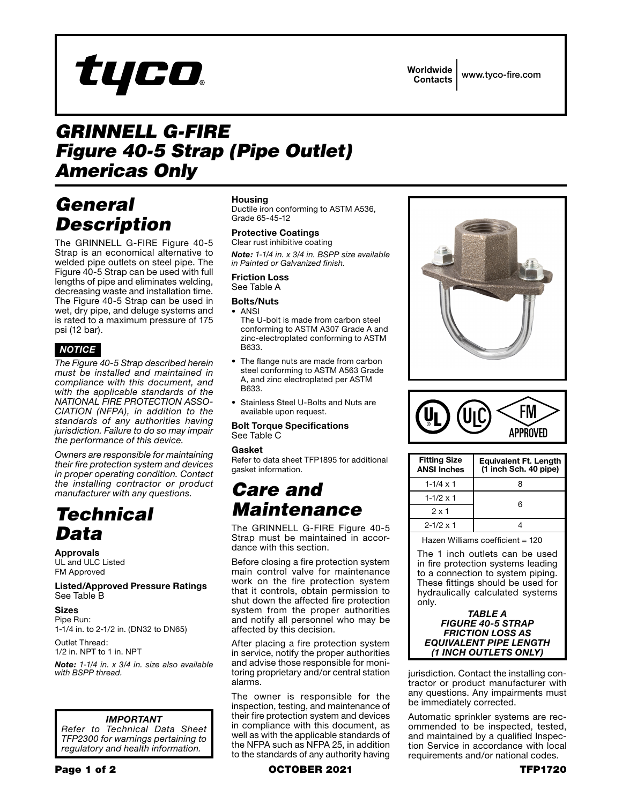# tyco

Worldwide Contacts www.tyco-fire.com

## *GRINNELL G-FIRE Figure 40-5 Strap (Pipe Outlet) Americas Only*

## *General Description*

The GRINNELL G-FIRE Figure 40-5 Strap is an economical alternative to welded pipe outlets on steel pipe. The Figure 40-5 Strap can be used with full lengths of pipe and eliminates welding, decreasing waste and installation time. The Figure 40-5 Strap can be used in wet, dry pipe, and deluge systems and is rated to a maximum pressure of 175 psi (12 bar).

### *NOTICE*

*The Figure 40-5 Strap described herein must be installed and maintained in compliance with this document, and with the applicable standards of the NATIONAL FIRE PROTECTION ASSO-CIATION (NFPA), in addition to the standards of any authorities having jurisdiction. Failure to do so may impair the performance of this device.* 

*Owners are responsible for maintaining their fire protection system and devices in proper operating condition. Contact the installing contractor or product manufacturer with any questions.* 

## *Technical Data*

Approvals

UL and ULC Listed FM Approved

#### Listed/Approved Pressure Ratings See Table B

Sizes

Pipe Run: 1-1/4 in. to 2-1/2 in. (DN32 to DN65)

Outlet Thread: 1/2 in. NPT to 1 in. NPT

*Note: 1-1/4 in. x 3/4 in. size also available with BSPP thread.*

#### *IMPORTANT*

*Refer to Technical Data Sheet TFP2300 for warnings pertaining to regulatory and health information.*

#### Housing

Ductile iron conforming to ASTM A536, Grade 65-45-12

#### Protective Coatings Clear rust inhibitive coating

*Note: 1-1/4 in. x 3/4 in. BSPP size available in Painted or Galvanized finish.*

#### Friction Loss See Table A

#### Bolts/Nuts • ANSI

- The U-bolt is made from carbon steel conforming to ASTM A307 Grade A and zinc-electroplated conforming to ASTM B633.
- The flange nuts are made from carbon steel conforming to ASTM A563 Grade A, and zinc electroplated per ASTM B633.
- Stainless Steel U-Bolts and Nuts are available upon request.

#### Bolt Torque Specifications See Table C

#### Gasket

Refer to data sheet TFP1895 for additional gasket information.

## *Care and Maintenance*

The GRINNELL G-FIRE Figure 40-5 Strap must be maintained in accordance with this section.

Before closing a fire protection system main control valve for maintenance work on the fire protection system that it controls, obtain permission to shut down the affected fire protection system from the proper authorities and notify all personnel who may be affected by this decision.

After placing a fire protection system in service, notify the proper authorities and advise those responsible for monitoring proprietary and/or central station alarms.

The owner is responsible for the inspection, testing, and maintenance of their fire protection system and devices in compliance with this document, as well as with the applicable standards of the NFPA such as NFPA 25, in addition to the standards of any authority having





| <b>Fitting Size</b><br><b>ANSI Inches</b> | <b>Equivalent Ft. Length</b><br>(1 inch Sch. 40 pipe) |
|-------------------------------------------|-------------------------------------------------------|
| $1 - 1/4 \times 1$                        | 8                                                     |
| $1 - 1/2 \times 1$                        | ഒ                                                     |
| $2 \times 1$                              |                                                       |
| $2 - 1/2 \times 1$                        |                                                       |
|                                           |                                                       |

Hazen Williams coefficient = 120

The 1 inch outlets can be used in fire protection systems leading to a connection to system piping. These fittings should be used for hydraulically calculated systems only.



jurisdiction. Contact the installing contractor or product manufacturer with any questions. Any impairments must be immediately corrected.

Automatic sprinkler systems are recommended to be inspected, tested, and maintained by a qualified Inspection Service in accordance with local requirements and/or national codes.